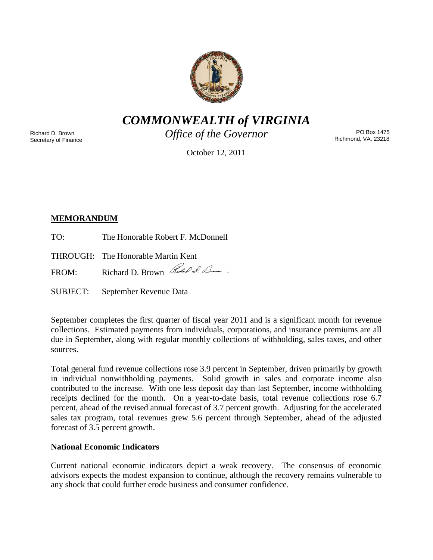

*COMMONWEALTH of VIRGINIA*

Richard D. Brown Secretary of Finance *Office of the Governor*

PO Box 1475 Richmond, VA. 23218

October 12, 2011

# **MEMORANDUM**

TO: The Honorable Robert F. McDonnell

THROUGH: The Honorable Martin Kent

FROM: Richard D. Brown Red I. Den

SUBJECT: September Revenue Data

September completes the first quarter of fiscal year 2011 and is a significant month for revenue collections. Estimated payments from individuals, corporations, and insurance premiums are all due in September, along with regular monthly collections of withholding, sales taxes, and other sources.

Total general fund revenue collections rose 3.9 percent in September, driven primarily by growth in individual nonwithholding payments. Solid growth in sales and corporate income also contributed to the increase. With one less deposit day than last September, income withholding receipts declined for the month. On a year-to-date basis, total revenue collections rose 6.7 percent, ahead of the revised annual forecast of 3.7 percent growth. Adjusting for the accelerated sales tax program, total revenues grew 5.6 percent through September, ahead of the adjusted forecast of 3.5 percent growth.

## **National Economic Indicators**

Current national economic indicators depict a weak recovery. The consensus of economic advisors expects the modest expansion to continue, although the recovery remains vulnerable to any shock that could further erode business and consumer confidence.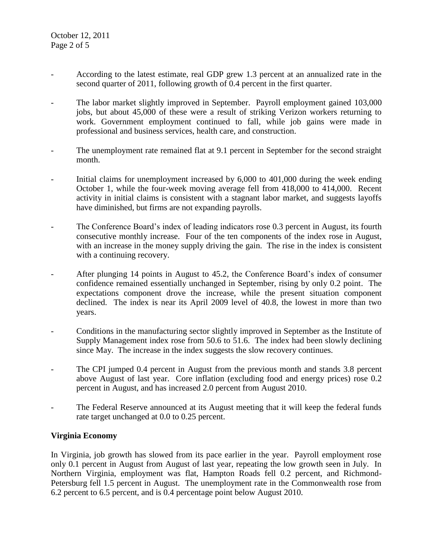- According to the latest estimate, real GDP grew 1.3 percent at an annualized rate in the second quarter of 2011, following growth of 0.4 percent in the first quarter.
- The labor market slightly improved in September. Payroll employment gained 103,000 jobs, but about 45,000 of these were a result of striking Verizon workers returning to work. Government employment continued to fall, while job gains were made in professional and business services, health care, and construction.
- The unemployment rate remained flat at 9.1 percent in September for the second straight month.
- Initial claims for unemployment increased by  $6,000$  to  $401,000$  during the week ending October 1, while the four-week moving average fell from 418,000 to 414,000. Recent activity in initial claims is consistent with a stagnant labor market, and suggests layoffs have diminished, but firms are not expanding payrolls.
- The Conference Board's index of leading indicators rose 0.3 percent in August, its fourth consecutive monthly increase. Four of the ten components of the index rose in August, with an increase in the money supply driving the gain. The rise in the index is consistent with a continuing recovery.
- After plunging 14 points in August to 45.2, the Conference Board's index of consumer confidence remained essentially unchanged in September, rising by only 0.2 point. The expectations component drove the increase, while the present situation component declined. The index is near its April 2009 level of 40.8, the lowest in more than two years.
- Conditions in the manufacturing sector slightly improved in September as the Institute of Supply Management index rose from 50.6 to 51.6. The index had been slowly declining since May. The increase in the index suggests the slow recovery continues.
- The CPI jumped 0.4 percent in August from the previous month and stands 3.8 percent above August of last year. Core inflation (excluding food and energy prices) rose 0.2 percent in August, and has increased 2.0 percent from August 2010.
- The Federal Reserve announced at its August meeting that it will keep the federal funds rate target unchanged at 0.0 to 0.25 percent.

## **Virginia Economy**

In Virginia, job growth has slowed from its pace earlier in the year. Payroll employment rose only 0.1 percent in August from August of last year, repeating the low growth seen in July. In Northern Virginia, employment was flat, Hampton Roads fell 0.2 percent, and Richmond-Petersburg fell 1.5 percent in August. The unemployment rate in the Commonwealth rose from 6.2 percent to 6.5 percent, and is 0.4 percentage point below August 2010.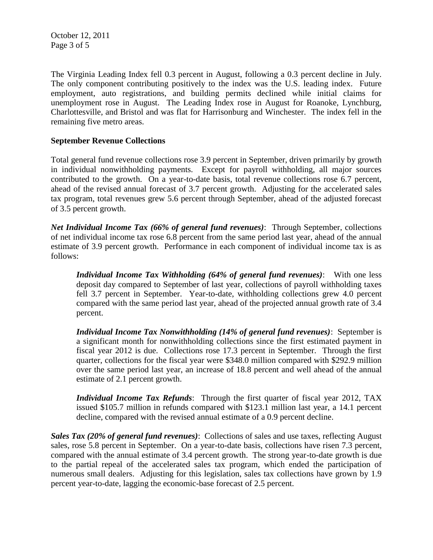October 12, 2011 Page 3 of 5

The Virginia Leading Index fell 0.3 percent in August, following a 0.3 percent decline in July. The only component contributing positively to the index was the U.S. leading index. Future employment, auto registrations, and building permits declined while initial claims for unemployment rose in August. The Leading Index rose in August for Roanoke, Lynchburg, Charlottesville, and Bristol and was flat for Harrisonburg and Winchester. The index fell in the remaining five metro areas.

### **September Revenue Collections**

Total general fund revenue collections rose 3.9 percent in September, driven primarily by growth in individual nonwithholding payments. Except for payroll withholding, all major sources contributed to the growth. On a year-to-date basis, total revenue collections rose 6.7 percent, ahead of the revised annual forecast of 3.7 percent growth. Adjusting for the accelerated sales tax program, total revenues grew 5.6 percent through September, ahead of the adjusted forecast of 3.5 percent growth.

*Net Individual Income Tax (66% of general fund revenues)*: Through September, collections of net individual income tax rose 6.8 percent from the same period last year, ahead of the annual estimate of 3.9 percent growth. Performance in each component of individual income tax is as follows:

*Individual Income Tax Withholding (64% of general fund revenues)*: With one less deposit day compared to September of last year, collections of payroll withholding taxes fell 3.7 percent in September. Year-to-date, withholding collections grew 4.0 percent compared with the same period last year, ahead of the projected annual growth rate of 3.4 percent.

*Individual Income Tax Nonwithholding (14% of general fund revenues)*: September is a significant month for nonwithholding collections since the first estimated payment in fiscal year 2012 is due. Collections rose 17.3 percent in September. Through the first quarter, collections for the fiscal year were \$348.0 million compared with \$292.9 million over the same period last year, an increase of 18.8 percent and well ahead of the annual estimate of 2.1 percent growth.

*Individual Income Tax Refunds*: Through the first quarter of fiscal year 2012, TAX issued \$105.7 million in refunds compared with \$123.1 million last year, a 14.1 percent decline, compared with the revised annual estimate of a 0.9 percent decline.

*Sales Tax (20% of general fund revenues)*: Collections of sales and use taxes, reflecting August sales, rose 5.8 percent in September. On a year-to-date basis, collections have risen 7.3 percent, compared with the annual estimate of 3.4 percent growth. The strong year-to-date growth is due to the partial repeal of the accelerated sales tax program, which ended the participation of numerous small dealers. Adjusting for this legislation, sales tax collections have grown by 1.9 percent year-to-date, lagging the economic-base forecast of 2.5 percent.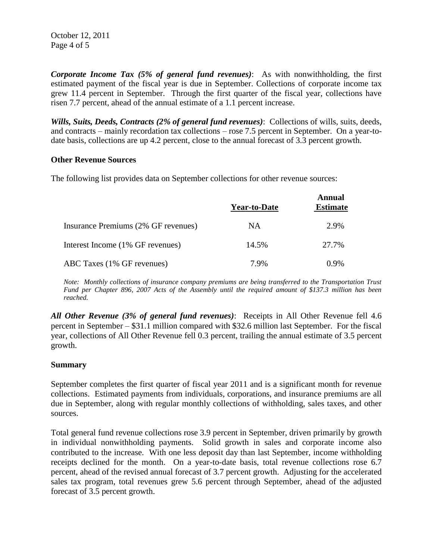October 12, 2011 Page 4 of 5

*Corporate Income Tax (5% of general fund revenues)*: As with nonwithholding, the first estimated payment of the fiscal year is due in September. Collections of corporate income tax grew 11.4 percent in September. Through the first quarter of the fiscal year, collections have risen 7.7 percent, ahead of the annual estimate of a 1.1 percent increase.

*Wills, Suits, Deeds, Contracts (2% of general fund revenues)*: Collections of wills, suits, deeds, and contracts – mainly recordation tax collections – rose 7.5 percent in September. On a year-todate basis, collections are up 4.2 percent, close to the annual forecast of 3.3 percent growth.

#### **Other Revenue Sources**

The following list provides data on September collections for other revenue sources:

|                                     | <b>Year-to-Date</b> | Annual<br><b>Estimate</b> |
|-------------------------------------|---------------------|---------------------------|
| Insurance Premiums (2% GF revenues) | NA                  | 2.9%                      |
| Interest Income (1% GF revenues)    | 14.5%               | 27.7%                     |
| ABC Taxes (1% GF revenues)          | 7.9%                | $0.9\%$                   |

*Note: Monthly collections of insurance company premiums are being transferred to the Transportation Trust Fund per Chapter 896, 2007 Acts of the Assembly until the required amount of \$137.3 million has been reached.*

*All Other Revenue (3% of general fund revenues)*: Receipts in All Other Revenue fell 4.6 percent in September – \$31.1 million compared with \$32.6 million last September. For the fiscal year, collections of All Other Revenue fell 0.3 percent, trailing the annual estimate of 3.5 percent growth.

#### **Summary**

September completes the first quarter of fiscal year 2011 and is a significant month for revenue collections. Estimated payments from individuals, corporations, and insurance premiums are all due in September, along with regular monthly collections of withholding, sales taxes, and other sources.

Total general fund revenue collections rose 3.9 percent in September, driven primarily by growth in individual nonwithholding payments. Solid growth in sales and corporate income also contributed to the increase. With one less deposit day than last September, income withholding receipts declined for the month. On a year-to-date basis, total revenue collections rose 6.7 percent, ahead of the revised annual forecast of 3.7 percent growth. Adjusting for the accelerated sales tax program, total revenues grew 5.6 percent through September, ahead of the adjusted forecast of 3.5 percent growth.